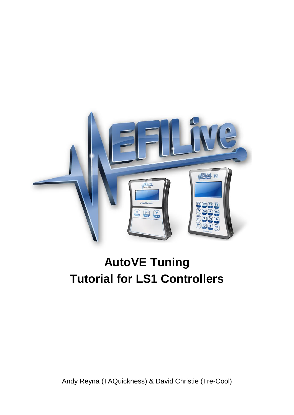

# **AutoVE Tuning Tutorial for LS1 Controllers**

Andy Reyna (TAQuickness) & David Christie (Tre-Cool)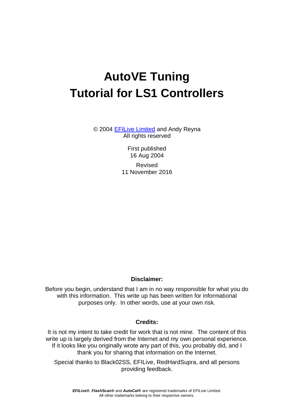# **AutoVE Tuning Tutorial for LS1 Controllers**

© 2004 [EFILive](http://www.efilive.com/) Limited and Andy Reyna All rights reserved

> First published 16 Aug 2004

Revised 11 November 2016

#### **Disclaimer:**

Before you begin, understand that I am in no way responsible for what you do with this information. This write up has been written for informational purposes only. In other words, use at your own risk.

#### **Credits:**

It is not my intent to take credit for work that is not mine. The content of this write up is largely derived from the Internet and my own personal experience. If it looks like you originally wrote any part of this, you probably did, and I thank you for sharing that information on the Internet.

Special thanks to Black02SS, EFILive, RedHardSupra, and all persons providing feedback.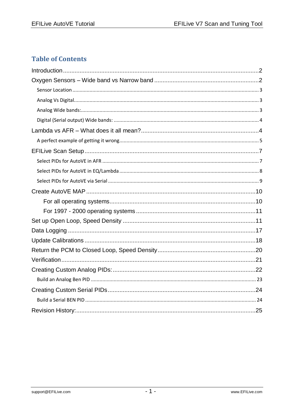## **Table of Contents**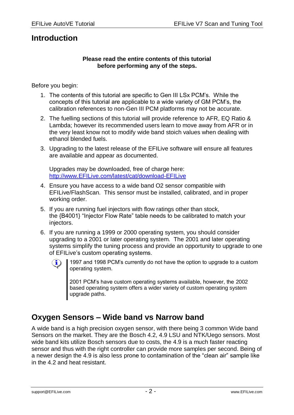## <span id="page-3-0"></span>**Introduction**

#### **Please read the entire contents of this tutorial before performing any of the steps.**

Before you begin:

- 1. The contents of this tutorial are specific to Gen III LSx PCM's. While the concepts of this tutorial are applicable to a wide variety of GM PCM's, the calibration references to non-Gen III PCM platforms may not be accurate.
- 2. The fuelling sections of this tutorial will provide reference to AFR, EQ Ratio & Lambda; however its recommended users learn to move away from AFR or in the very least know not to modify wide band stoich values when dealing with ethanol blended fuels.
- 3. Upgrading to the latest release of the EFILive software will ensure all features are available and appear as documented.

Upgrades may be downloaded, free of charge here: [http://www.EFILive.com/latest/cat/download-EFILive](http://www.efilive.com/latest/cat/download-efilive)

- 4. Ensure you have access to a wide band O2 sensor compatible with EFILive/FlashScan. This sensor must be installed, calibrated, and in proper working order.
- 5. If you are running fuel injectors with flow ratings other than stock, the {B4001} "Injector Flow Rate" table needs to be calibrated to match your injectors.
- 6. If you are running a 1999 or 2000 operating system, you should consider upgrading to a 2001 or later operating system. The 2001 and later operating systems simplify the tuning process and provide an opportunity to upgrade to one of EFILive's custom operating systems.
	-
- 1997 and 1998 PCM's currently do not have the option to upgrade to a custom operating system.

2001 PCM's have custom operating systems available, however, the 2002 based operating system offers a wider variety of custom operating system upgrade paths.

## <span id="page-3-1"></span>**Oxygen Sensors – Wide band vs Narrow band**

A wide band is a high precision oxygen sensor, with there being 3 common Wide band Sensors on the market. They are the Bosch 4.2, 4.9 LSU and NTK/Uego sensors. Most wide band kits utilize Bosch sensors due to costs, the 4.9 is a much faster reacting sensor and thus with the right controller can provide more samples per second. Being of a newer design the 4.9 is also less prone to contamination of the "clean air" sample like in the 4.2 and heat resistant.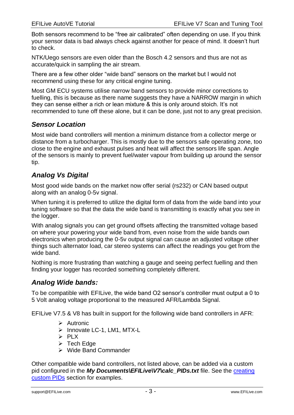Both sensors recommend to be "free air calibrated" often depending on use. If you think your sensor data is bad always check against another for peace of mind. It doesn't hurt to check.

NTK/Uego sensors are even older than the Bosch 4.2 sensors and thus are not as accurate/quick in sampling the air stream.

There are a few other older "wide band" sensors on the market but I would not recommend using these for any critical engine tuning.

Most GM ECU systems utilise narrow band sensors to provide minor corrections to fuelling, this is because as there name suggests they have a NARROW margin in which they can sense either a rich or lean mixture & this is only around stoich. It's not recommended to tune off these alone, but it can be done, just not to any great precision.

#### <span id="page-4-0"></span>*Sensor Location*

Most wide band controllers will mention a minimum distance from a collector merge or distance from a turbocharger. This is mostly due to the sensors safe operating zone, too close to the engine and exhaust pulses and heat will affect the sensors life span. Angle of the sensors is mainly to prevent fuel/water vapour from building up around the sensor tip.

## <span id="page-4-1"></span>*Analog Vs Digital*

Most good wide bands on the market now offer serial (rs232) or CAN based output along with an analog 0-5v signal.

When tuning it is preferred to utilize the digital form of data from the wide band into your tuning software so that the data the wide band is transmitting is exactly what you see in the logger.

With analog signals you can get ground offsets affecting the transmitted voltage based on where your powering your wide band from, even noise from the wide bands own electronics when producing the 0-5v output signal can cause an adjusted voltage other things such alternator load, car stereo systems can affect the readings you get from the wide band.

Nothing is more frustrating than watching a gauge and seeing perfect fuelling and then finding your logger has recorded something completely different.

#### <span id="page-4-2"></span>*Analog Wide bands:*

To be compatible with EFILive, the wide band O2 sensor's controller must output a 0 to 5 Volt analog voltage proportional to the measured AFR/Lambda Signal.

EFILive V7.5 & V8 has built in support for the following wide band controllers in AFR:

- $\triangleright$  Autronic
- $\triangleright$  Innovate LC-1, LM1, MTX-L
- $\triangleright$  PLX
- $\triangleright$  Tech Edge
- $\triangleright$  Wide Band Commander

Other compatible wide band controllers, not listed above, can be added via a custom pid configured in the *My Documents\EFILive\V7\calc PIDs.txt* file. See the creating [custom PIDs](#page-23-0) section for examples.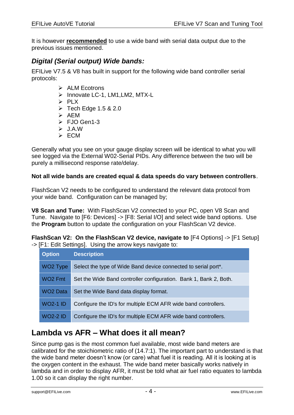It is however **recommended** to use a wide band with serial data output due to the previous issues mentioned.

#### <span id="page-5-0"></span>*Digital (Serial output) Wide bands:*

EFILive V7.5 & V8 has built in support for the following wide band controller serial protocols:

- $\triangleright$  ALM Ecotrons
- $\triangleright$  Innovate LC-1, LM1, LM2, MTX-L
- $\triangleright$  PLX
- $\triangleright$  Tech Edge 1.5 & 2.0
- $\triangleright$  AEM
- FJO Gen1-3
- $\triangleright$  JAW
- $\triangleright$  ECM

Generally what you see on your gauge display screen will be identical to what you will see logged via the External W02-Serial PIDs. Any difference between the two will be purely a millisecond response rate/delay.

#### **Not all wide bands are created equal & data speeds do vary between controllers**.

FlashScan V2 needs to be configured to understand the relevant data protocol from your wide band. Configuration can be managed by;

**V8 Scan and Tune:** With FlashScan V2 connected to your PC, open V8 Scan and Tune.Navigate to [F6: Devices] -> [F8: Serial I/O] and select wide band options. Use the **Program** button to update the configuration on your FlashScan V2 device.

**FlashScan V2: On the FlashScan V2 device, navigate to** [F4 Options] -> [F1 Setup] -> [F1: Edit Settings]. Using the arrow keys navigate to:

| <b>Option</b>        | <b>Description</b>                                                |
|----------------------|-------------------------------------------------------------------|
| WO <sub>2</sub> Type | Select the type of Wide Band device connected to serial port*.    |
| WO <sub>2</sub> Fmt  | Set the Wide Band controller configuration. Bank 1, Bank 2, Both. |
| <b>WO2 Data</b>      | Set the Wide Band data display format.                            |
| <b>WO2-1 ID</b>      | Configure the ID's for multiple ECM AFR wide band controllers.    |
| <b>WO2-2 ID</b>      | Configure the ID's for multiple ECM AFR wide band controllers.    |

## <span id="page-5-1"></span>**Lambda vs AFR – What does it all mean?**

Since pump gas is the most common fuel available, most wide band meters are calibrated for the stoichiometric ratio of (14.7:1). The important part to understand is that the wide band meter doesn't know (or care) what fuel it is reading. All it is looking at is the oxygen content in the exhaust. The wide band meter basically works natively in lambda and in order to display AFR, it must be told what air fuel ratio equates to lambda 1.00 so it can display the right number.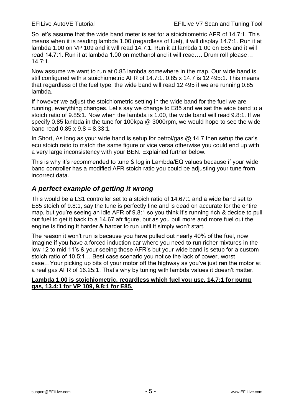So let's assume that the wide band meter is set for a stoichiometric AFR of 14.7:1. This means when it is reading lambda 1.00 (regardless of fuel), it will display 14.7:1. Run it at lambda 1.00 on VP 109 and it will read 14.7:1. Run it at lambda 1.00 on E85 and it will read 14.7:1. Run it at lambda 1.00 on methanol and it will read…. Drum roll please… 14.7:1.

Now assume we want to run at 0.85 lambda somewhere in the map. Our wide band is still configured with a stoichiometric AFR of 14.7:1. 0.85 x 14.7 is 12.495:1. This means that regardless of the fuel type, the wide band will read 12.495 if we are running 0.85 lambda.

If however we adjust the stoichiometric setting in the wide band for the fuel we are running, everything changes. Let's say we change to E85 and we set the wide band to a stoich ratio of 9.85:1. Now when the lambda is 1.00, the wide band will read 9.8:1. If we specify 0.85 lambda in the tune for 100kpa @ 3000rpm, we would hope to see the wide band read  $0.85 \times 9.8 = 8.33:1$ .

In Short, As long as your wide band is setup for petrol/gas  $@$  14.7 then setup the car's ecu stoich ratio to match the same figure or vice versa otherwise you could end up with a very large inconsistency with your BEN. Explained further below.

This is why it's recommended to tune & log in Lambda/EQ values because if your wide band controller has a modified AFR stoich ratio you could be adjusting your tune from incorrect data.

## <span id="page-6-0"></span>*A perfect example of getting it wrong*

This would be a LS1 controller set to a stoich ratio of 14.67:1 and a wide band set to E85 stoich of 9.8:1, say the tune is perfectly fine and is dead on accurate for the entire map, but you're seeing an idle AFR of 9.8:1 so you think it's running rich & decide to pull out fuel to get it back to a 14.67 afr figure, but as you pull more and more fuel out the engine is finding it harder & harder to run until it simply won't start.

The reason it won't run is because you have pulled out nearly 40% of the fuel, now imagine if you have a forced induction car where you need to run richer mixtures in the low 12 to mid 11's & your seeing those AFR's but your wide band is setup for a custom stoich ratio of 10.5:1… Best case scenario you notice the lack of power, worst case…Your picking up bits of your motor off the highway as you've just ran the motor at a real gas AFR of 16.25:1. That's why by tuning with lambda values it doesn't matter.

#### **Lambda 1.00 is stoichiometric, regardless which fuel you use. 14.7:1 for pump gas, 13.4:1 for VP 109, 9.8:1 for E85.**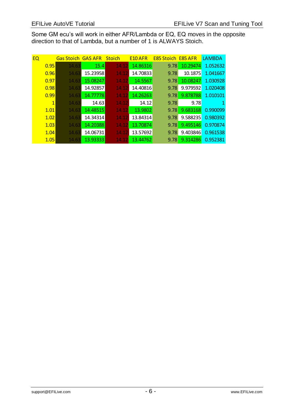Some GM ecu's will work in either AFR/Lambda or EQ, EQ moves in the opposite direction to that of Lambda, but a number of 1 is ALWAYS Stoich.

| EQ |              | <b>Gas Stoich</b> | <b>GAS AFR</b> | <b>Stoich</b> | E <sub>10</sub> AFR | <b>E85 Stoich</b> | <b>E85 AFR</b> | <b>LAMBDA</b> |
|----|--------------|-------------------|----------------|---------------|---------------------|-------------------|----------------|---------------|
|    | 0.95         | 14.63             | 15.4           | 14.12         | 14.86316            | 9.78              | 10.29474       | 1.052632      |
|    | 0.96         | 14.63             | 15.23958       | 14.12         | 14.70833            | 9.78              | 10.1875        | 1.041667      |
|    | 0.97         | 14.63             | 15.08247       | 14.12         | 14.5567             | 9.78              | 10.08247       | 1.030928      |
|    | 0.98         | 14.63             | 14.92857       | 14.12         | 14.40816            | 9.78              | 9.979592       | 1.020408      |
|    | 0.99         | 14.63             | 14.77778       | 14.12         | 14.26263            | 9.78              | 9.878788       | 1.010101      |
|    | $\mathbf{1}$ | 14.63             | 14.63          | 14.12         | 14.12               | 9.78              | 9.78           |               |
|    | 1.01         | 14.63             | 14.48515       | 14.12         | 13.9802             | 9.78              | 9.683168       | 0.990099      |
|    | 1.02         | 14.63             | 14.34314       | 14.12         | 13.84314            | 9.78              | 9.588235       | 0.980392      |
|    | 1.03         | 14.63             | 14.20388       | 14.12         | 13.70874            | 9.78              | 9.495146       | 0.970874      |
|    | 1.04         | 14.63             | 14.06731       | 14.12         | 13.57692            | 9.78              | 9.403846       | 0.961538      |
|    | 1.05         | 14.63             | 13.93333       | 14.12         | 13.44762            | 9.78              | 9.314286       | 0.952381      |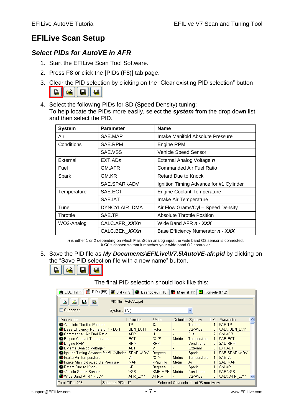# <span id="page-8-0"></span>**EFILive Scan Setup**

## <span id="page-8-1"></span>*Select PIDs for AutoVE in AFR*

- 1. Start the EFILive Scan Tool Software.
- 2. Press F8 or click the [PIDs (F8)] tab page.
- 3. Clear the PID selection by clicking on the "Clear existing PID selection" button  $\Box$ 雇 團 匾
- 4. Select the following PIDs for SD (Speed Density) tuning: To help locate the PIDs more easily, select the *system* from the drop down list, and then select the PID.

| <b>System</b> | <b>Parameter</b> | <b>Name</b>                             |  |  |
|---------------|------------------|-----------------------------------------|--|--|
| Air           | SAE MAP          | Intake Manifold Absolute Pressure       |  |  |
| Conditions    | SAE RPM          | Engine RPM                              |  |  |
|               | SAE.VSS          | Vehicle Speed Sensor                    |  |  |
| External      | $EXT$ ADn        | External Analog Voltage n               |  |  |
| Fuel          | GM.AFR           | Commanded Air Fuel Ratio                |  |  |
| Spark         | GM.KR            | Retard Due to Knock                     |  |  |
|               | SAE.SPARKADV     | Ignition Timing Advance for #1 Cylinder |  |  |
| Temperature   | SAE.ECT          | <b>Engine Coolant Temperature</b>       |  |  |
|               | SAE.IAT          | Intake Air Temperature                  |  |  |
| Tune          | DYNCYLAIR_DMA    | Air Flow Grams/Cyl - Speed Density      |  |  |
| Throttle      | SAE.TP           | Absolute Throttle Position              |  |  |
| WO2-Analog    | CALC.AFR XXXn    | Wide Band AFR n - XXX                   |  |  |
|               | CALC.BEN XXXn    | Base Efficiency Numerator n - XXX       |  |  |

*n* is either 1 or 2 depending on which FlashScan analog input the wide band O2 sensor is connected. *XXX* is chosen so that it matches your wide band O2 controller.

5. Save the PID file as *My Documents\EFILive\V7.5\AutoVE-afr.pid* by clicking on the "Save PID selection file with a new name" button.



The final PID selection should look like this:

| PIDs (F8)<br>图 OBD II (F7)                                                  |          |                 |                |                          |                      |                |               |  |
|-----------------------------------------------------------------------------|----------|-----------------|----------------|--------------------------|----------------------|----------------|---------------|--|
| PID file: AutoVE.pid<br>Q.<br>山                                             |          |                 |                |                          |                      |                |               |  |
| □ Supported<br>System: (All)<br>v                                           |          |                 |                |                          |                      |                |               |  |
| Description                                                                 |          | Caption         | Units          | Default                  | System               | $\mathbb{C}^+$ | Parameter     |  |
| Absolute Throttle Position                                                  | TP       | %               |                | Throttle                 | 1.                   | SAE.TP         |               |  |
| Base Efficiency Numerator 1 - LC-1                                          | BEN LC11 | factor          |                | O2-Wide                  | 0.                   | CALC.BEN LC11  |               |  |
| Commanded Air Fuel Ratio                                                    |          | AFR.            | :1             | $\overline{\phantom{0}}$ | Fuel                 | $\mathcal{P}$  | GM.AFR        |  |
| Engine Coolant Temperature                                                  |          | ECT.            | °C.°F          | Metric                   | Temperature          |                | SAE.ECT       |  |
| <b>B</b> Engine RPM                                                         |          | <b>RPM</b>      | <b>RPM</b>     |                          | <b>Conditions</b>    | 2.             | SAE.RPM       |  |
| External Analog Voltage 1                                                   |          | AD1             | ٧              |                          | External             | 0              | EXT.AD1       |  |
| Ignition Timing Advance for #1 Cylinder                                     |          | <b>SPARKADV</b> | <b>Degrees</b> | $\overline{a}$           | <b>Spark</b>         |                | SAE.SPARKADV  |  |
| <b>Wintake Air Temperature</b>                                              |          | <b>IAT</b>      | °C.°F          | Metric                   | Temperature          | $\mathbf{1}$   | SAE.IAT       |  |
| Intake Manifold Absolute Pressure                                           |          | <b>MAP</b>      | kPa,inHq       | Metric                   | Air                  |                | SAE, MAP      |  |
| Retard Due to Knock                                                         |          | KR.             | Degrees        |                          | Spark                |                | GM.KR         |  |
| Wehicle Speed Sensor                                                        |          | VSS <sub></sub> | KMH, MPH       | Metric                   | <b>Conditions</b>    |                | SAE.VSS       |  |
| Wide Band AFR 1 - LC-1                                                      |          | AFR LC11        | AFR.V          |                          | O <sub>2</sub> -Wide | 0.             | CALC.AFR LC11 |  |
| Total PIDs: 295<br>Selected PIDs: 12<br>Selected Channels: 11 of 96 maximum |          |                 |                |                          |                      |                |               |  |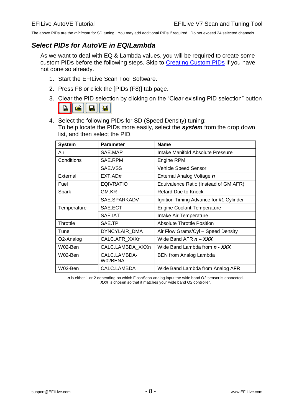The above PIDs are the *minimum* for SD tuning. You may add additional PIDs if required. Do not exceed 24 selected channels.

#### <span id="page-9-0"></span>*Select PIDs for AutoVE in EQ/Lambda*

As we want to deal with EQ & Lambda values, you will be required to create some custom PIDs before the following steps. Skip to [Creating Custom PIDs](#page-23-0) if you have not done so already.

- 1. Start the EFILive Scan Tool Software.
- 2. Press F8 or click the [PIDs (F8)] tab page.
- 3. Clear the PID selection by clicking on the "Clear existing PID selection" button **D** é.
- 4. Select the following PIDs for SD (Speed Density) tuning: To help locate the PIDs more easily, select the *system* from the drop down list, and then select the PID.

| <b>System</b> | <b>Parameter</b>        | <b>Name</b>                             |  |  |  |
|---------------|-------------------------|-----------------------------------------|--|--|--|
| Air           | SAE.MAP                 | Intake Manifold Absolute Pressure       |  |  |  |
| Conditions    | SAE.RPM                 | Engine RPM                              |  |  |  |
|               | SAE.VSS                 | Vehicle Speed Sensor                    |  |  |  |
| External      | $EXT$ .ADn              | External Analog Voltage n               |  |  |  |
| Fuel          | <b>EQIVRATIO</b>        | Equivalence Ratio (Instead of GM.AFR)   |  |  |  |
| Spark         | GM.KR                   | Retard Due to Knock                     |  |  |  |
|               | SAE.SPARKADV            | Ignition Timing Advance for #1 Cylinder |  |  |  |
| Temperature   | SAE.ECT                 | <b>Engine Coolant Temperature</b>       |  |  |  |
|               | SAE.IAT                 | Intake Air Temperature                  |  |  |  |
| Throttle      | SAE.TP                  | Absolute Throttle Position              |  |  |  |
| Tune          | DYNCYLAIR DMA           | Air Flow Grams/Cyl - Speed Density      |  |  |  |
| O2-Analog     | CALC.AFR_XXXn           | Wide Band AFR $n - XXX$                 |  |  |  |
| W02-Ben       | CALC.LAMBDA XXXn        | Wide Band Lambda from <b>n - XXX</b>    |  |  |  |
| W02-Ben       | CALC.LAMBDA-<br>W02BENA | <b>BEN</b> from Analog Lambda           |  |  |  |
| W02-Ben       | CALC.LAMBDA             | Wide Band Lambda from Analog AFR        |  |  |  |

*n* is either 1 or 2 depending on which FlashScan analog input the wide band O2 sensor is connected. *XXX* is chosen so that it matches your wide band O2 controller.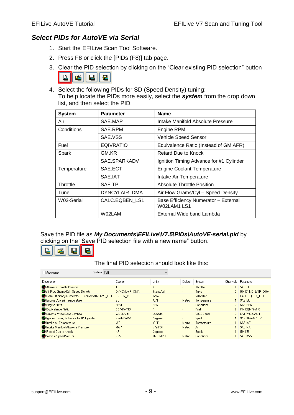## <span id="page-10-0"></span>*Select PIDs for AutoVE via Serial*

- 1. Start the EFILive Scan Tool Software.
- 2. Press F8 or click the [PIDs (F8)] tab page.
- 3. Clear the PID selection by clicking on the "Clear existing PID selection" button



4. Select the following PIDs for SD (Speed Density) tuning: To help locate the PIDs more easily, select the *system* from the drop down list, and then select the PID.

| <b>System</b> | <b>Parameter</b>                                          | <b>Name</b>                                         |  |  |  |
|---------------|-----------------------------------------------------------|-----------------------------------------------------|--|--|--|
| Air           | SAE.MAP                                                   | Intake Manifold Absolute Pressure                   |  |  |  |
| Conditions    | SAE RPM                                                   | <b>Engine RPM</b>                                   |  |  |  |
|               | SAE.VSS                                                   | Vehicle Speed Sensor                                |  |  |  |
| Fuel          | <b>EQIVRATIO</b><br>Equivalence Ratio (Instead of GM.AFR) |                                                     |  |  |  |
| Spark         | GM.KR                                                     | Retard Due to Knock                                 |  |  |  |
|               | SAE.SPARKADV<br>Ignition Timing Advance for #1 Cylinder   |                                                     |  |  |  |
| Temperature   | SAE.ECT                                                   | <b>Engine Coolant Temperature</b>                   |  |  |  |
|               | SAE.IAT                                                   | Intake Air Temperature                              |  |  |  |
| Throttle      | SAE.TP                                                    | Absolute Throttle Position                          |  |  |  |
| Tune          | DYNCYLAIR DMA                                             | Air Flow Grams/Cyl - Speed Density                  |  |  |  |
| W02-Serial    | CALC.EQBEN LS1                                            | Base Efficiency Numerator - External<br>W02LAM1 LS1 |  |  |  |
|               | W02LAM                                                    | External Wide band Lambda                           |  |  |  |

Save the PID file as *My Documents\EFILive\V7.5\PIDs\AutoVE-serial.pid* by clicking on the "Save PID selection file with a new name" button.



The final PID selection should look like this:

| Supported                                        | System: [All]  |                  | $\checkmark$ |                          |                   |            |                         |
|--------------------------------------------------|----------------|------------------|--------------|--------------------------|-------------------|------------|-------------------------|
| Description                                      | Caption        |                  | Units        | Default                  | System            | Channels I | Parameter               |
| Absolute Throttle Position                       | <b>TP</b>      |                  | $\%$         | $\sim$                   | Throttle          |            | SAE.TP                  |
| Air Flow Grams/Cyl - Speed Density               |                | DYNCYLAIR DMA    | Grams/cvl    |                          | Tune              | 2.         | <b>GM.DYNCYLAIR DMA</b> |
| Base Efficiency Numerator - External W02LAM1 LS1 |                | <b>EGBEN LS1</b> | factor       | $\sim$                   | W02-Ben           |            | 0 CALC.EQBEN LS1        |
| Engine Coolant Temperature                       | ECT            |                  | °C.°F        | Metric                   | Temperature       |            | SAE ECT                 |
| Engine RPM                                       | <b>RPM</b>     |                  | <b>RPM</b>   | $\blacksquare$           | <b>Conditions</b> |            | 2   SAE.RPM             |
| Equivalence Ratio                                |                | EQIVRATIO        | :1           | $\blacksquare$           | Fuel              |            | GM.EOIVRATIO            |
| External Wide Band Lambda                        |                | W02LAM1          | Lambda       | $\blacksquare$           | W02-Serial        | n.         | EXT.W02LAM1             |
| Ignition Timing Advance for #1 Cylinder          |                | SPARKADV         | Degrees      | $\overline{\phantom{a}}$ | <b>Spark</b>      |            | SAE.SPARKADV            |
| Intake Air Temperature                           | <b>IAT</b>     |                  | °C.°F        | <b>Metric</b>            | Temperature       |            | SAE.IAT                 |
| Intake Manifold Absolute Pressure                | MAP.           |                  | kPa,PSI      | <b>Metric</b>            | Air               |            | SAE.MAP                 |
| Retard Due to Knock                              | K <sub>R</sub> |                  | Degrees      | $\blacksquare$           | <b>Spark</b>      |            | GM.KR                   |
| Vehicle Speed Sensor                             | <b>VSS</b>     |                  | KMH MPH      | <b>Metric</b>            | <b>Conditions</b> |            | SAE.VSS                 |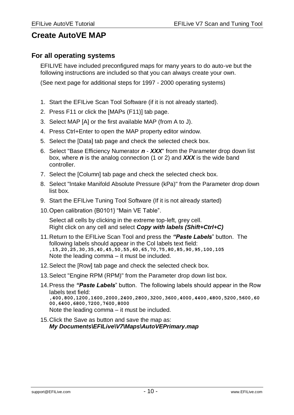## <span id="page-11-0"></span>**Create AutoVE MAP**

#### <span id="page-11-1"></span>**For all operating systems**

EFILIVE have included preconfigured maps for many years to do auto-ve but the following instructions are included so that you can always create your own.

(See next page for additional steps for 1997 - 2000 operating systems)

- 1. Start the EFILive Scan Tool Software (if it is not already started).
- 2. Press F11 or click the [MAPs (F11)] tab page.
- 3. Select MAP [A] or the first available MAP (from A to J).
- 4. Press Ctrl+Enter to open the MAP property editor window.
- 5. Select the [Data] tab page and check the selected check box.
- 6. Select "Base Efficiency Numerator *n XXX*" from the Parameter drop down list box, where *n* is the analog connection (1 or 2) and *XXX* is the wide band controller.
- 7. Select the [Column] tab page and check the selected check box.
- 8. Select "Intake Manifold Absolute Pressure (kPa)" from the Parameter drop down list box.
- 9. Start the EFILive Tuning Tool Software (If it is not already started)
- 10.Open calibration {B0101} "Main VE Table".

Select all cells by clicking in the extreme top-left, grey cell. Right click on any cell and select *Copy with labels (Shift+Ctrl+C)*

- 11.Return to the EFILive Scan Tool and press the *"Paste Labels*" button. The following labels should appear in the Col labels text field: **,15,20,25,30,35,40,45,50,55,60,65,70,75,80,85,90,95,100,105** Note the leading comma – it must be included.
- 12.Select the [Row] tab page and check the selected check box.
- 13.Select "Engine RPM (RPM)" from the Parameter drop down list box.
- 14.Press the *"Paste Labels*" button. The following labels should appear in the Row labels text field: **,400,800,1200,1600,2000,2400,2800,3200,3600,4000,4400,4800,5200,5600,60 00,6400,6800,7200,7600,8000** Note the leading comma – it must be included.
- 15.Click the Save as button and save the map as: *My Documents\EFILive\V7\Maps\AutoVEPrimary.map*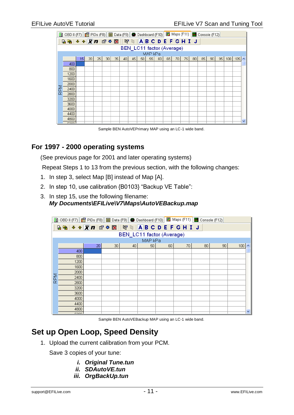|     | 2 OBD II (F7)   ■ PIDs (F8)   ■ Data (F9)   ● Dashboard (F10)   ■ Maps (F11)   ■ Console (F12) |                 |    |    |                 |    |    |    |    |    |    |    |    |    |    |    |    |    |     |     |   |
|-----|------------------------------------------------------------------------------------------------|-----------------|----|----|-----------------|----|----|----|----|----|----|----|----|----|----|----|----|----|-----|-----|---|
|     |                                                                                                |                 |    |    |                 |    |    |    |    |    |    |    |    |    |    |    |    |    |     |     |   |
|     | BEN_LC11 factor (Average)                                                                      |                 |    |    |                 |    |    |    |    |    |    |    |    |    |    |    |    |    |     |     |   |
|     | MAP kPa                                                                                        |                 |    |    |                 |    |    |    |    |    |    |    |    |    |    |    |    |    |     |     |   |
|     |                                                                                                | 15 <sup>1</sup> | 20 | 25 | 30 <sub>1</sub> | 35 | 40 | 45 | 50 | 55 | 60 | 65 | 70 | 75 | 80 | 85 | 90 | 95 | 100 | 105 | ٨ |
|     | 400                                                                                            |                 |    |    |                 |    |    |    |    |    |    |    |    |    |    |    |    |    |     |     |   |
|     | 800                                                                                            |                 |    |    |                 |    |    |    |    |    |    |    |    |    |    |    |    |    |     |     |   |
|     | 1200                                                                                           |                 |    |    |                 |    |    |    |    |    |    |    |    |    |    |    |    |    |     |     |   |
|     | 1600                                                                                           |                 |    |    |                 |    |    |    |    |    |    |    |    |    |    |    |    |    |     |     |   |
|     | 2000                                                                                           |                 |    |    |                 |    |    |    |    |    |    |    |    |    |    |    |    |    |     |     |   |
| RPM | 2400                                                                                           |                 |    |    |                 |    |    |    |    |    |    |    |    |    |    |    |    |    |     |     |   |
|     | 2800                                                                                           |                 |    |    |                 |    |    |    |    |    |    |    |    |    |    |    |    |    |     |     |   |
|     | 3200                                                                                           |                 |    |    |                 |    |    |    |    |    |    |    |    |    |    |    |    |    |     |     |   |
|     | 3600                                                                                           |                 |    |    |                 |    |    |    |    |    |    |    |    |    |    |    |    |    |     |     |   |
|     | 4000                                                                                           |                 |    |    |                 |    |    |    |    |    |    |    |    |    |    |    |    |    |     |     |   |
|     | 4400                                                                                           |                 |    |    |                 |    |    |    |    |    |    |    |    |    |    |    |    |    |     |     |   |
|     | 4800                                                                                           |                 |    |    |                 |    |    |    |    |    |    |    |    |    |    |    |    |    |     |     | v |
|     | rooc                                                                                           |                 |    |    |                 |    |    |    |    |    |    |    |    |    |    |    |    |    |     |     |   |

Sample BEN AutoVEPrimary MAP using an LC-1 wide band.

## <span id="page-12-0"></span>**For 1997 - 2000 operating systems**

(See previous page for 2001 and later operating systems)

Repeat Steps 1 to 13 from the previous section, with the following changes:

- 1. In step 3, select Map [B] instead of Map [A].
- 2. In step 10, use calibration {B0103} "Backup VE Table":
- 3. In step 15, use the following filename: *My Documents\EFILive\V7\Maps\AutoVEBackup.map*

|     | 2 OBD II (F7)   图 PIDs (F8)   图 Data (F9)   ● Dashboard (F10)   图 Maps (F11)   图 Console (F12) |    |                 |    |    |    |    |                 |    |     |   |
|-----|------------------------------------------------------------------------------------------------|----|-----------------|----|----|----|----|-----------------|----|-----|---|
|     | <b>Q % ↓ ↑ X n + ☆ 認   で Q   A B C D E F G H I J</b>                                           |    |                 |    |    |    |    |                 |    |     |   |
|     | BEN_LC11 factor (Average)                                                                      |    |                 |    |    |    |    |                 |    |     |   |
|     | MAP kPa                                                                                        |    |                 |    |    |    |    |                 |    |     |   |
|     |                                                                                                | 20 | 30 <sub>1</sub> | 40 | 50 | 60 | 70 | 80 <sub>1</sub> | 90 | 100 |   |
|     | 400                                                                                            |    |                 |    |    |    |    |                 |    |     |   |
|     | 800                                                                                            |    |                 |    |    |    |    |                 |    |     |   |
|     | 1200                                                                                           |    |                 |    |    |    |    |                 |    |     |   |
|     | 1600                                                                                           |    |                 |    |    |    |    |                 |    |     |   |
|     | 2000                                                                                           |    |                 |    |    |    |    |                 |    |     |   |
| RPM | 2400                                                                                           |    |                 |    |    |    |    |                 |    |     |   |
|     | 2800                                                                                           |    |                 |    |    |    |    |                 |    |     |   |
|     | 3200                                                                                           |    |                 |    |    |    |    |                 |    |     |   |
|     | 3600                                                                                           |    |                 |    |    |    |    |                 |    |     |   |
|     | 4000                                                                                           |    |                 |    |    |    |    |                 |    |     |   |
|     | 4400                                                                                           |    |                 |    |    |    |    |                 |    |     |   |
|     | 4800                                                                                           |    |                 |    |    |    |    |                 |    |     | v |
|     | noon.                                                                                          |    |                 |    |    |    |    |                 |    |     |   |

Sample BEN AutoVEBackup MAP using an LC-1 wide band.

## <span id="page-12-1"></span>**Set up Open Loop, Speed Density**

1. Upload the current calibration from your PCM.

Save 3 copies of your tune:

- *i. Original Tune.tun*
- *ii. SDAutoVE.tun*
- *iii. OrgBackUp.tun*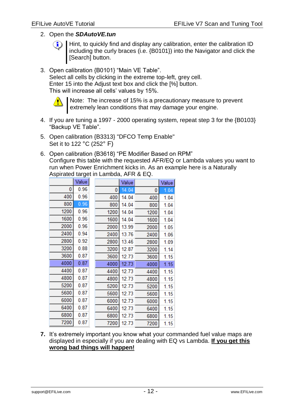#### 2. Open the *SDAutoVE.tun*

Hint, to quickly find and display any calibration, enter the calibration ID including the curly braces (i.e. {B0101}) into the Navigator and click the [Search] button.

3. Open calibration {B0101} "Main VE Table". Select all cells by clicking in the extreme top-left, grey cell. Enter 15 into the Adjust text box and click the [%] button. This will increase all cells' values by 15%.



Note: The increase of 15% is a precautionary measure to prevent extremely lean conditions that may damage your engine.

- 4. If you are tuning a 1997 2000 operating system, repeat step 3 for the {B0103} "Backup VE Table".
- 5. Open calibration {B3313} "DFCO Temp Enable" Set it to 122 °C (252° F)
- 6. Open calibration {B3618} "PE Modifier Based on RPM" Configure this table with the requested AFR/EQ or Lambda values you want to run when Power Enrichment kicks in. As an example here is a Naturally Aspirated target in Lambda, AFR & EQ.

|      | Value |      | Value |      | Value |
|------|-------|------|-------|------|-------|
| 0    | 0.96  | 0    | 14.04 | 0    | 1.04  |
| 400  | 0.96  | 400  | 14.04 | 400  | 1.04  |
| 800  | 0.96  | 800  | 14.04 | 800  | 1.04  |
| 1200 | 0.96  | 1200 | 14.04 | 1200 | 1.04  |
| 1600 | 0.96  | 1600 | 14.04 | 1600 | 1.04  |
| 2000 | 0.96  | 2000 | 13.99 | 2000 | 1.05  |
| 2400 | 0.94  | 2400 | 13.76 | 2400 | 1.06  |
| 2800 | 0.92  | 2800 | 13.46 | 2800 | 1.09  |
| 3200 | 0.88  | 3200 | 12.87 | 3200 | 1.14  |
| 3600 | 0.87  | 3600 | 12.73 | 3600 | 1.15  |
| 4000 | 0.87  | 4000 | 12.73 | 4000 | 1.15  |
| 4400 | 0.87  | 4400 | 12.73 | 4400 | 1.15  |
| 4800 | 0.87  | 4800 | 12.73 | 4800 | 1.15  |
| 5200 | 0.87  | 5200 | 12.73 | 5200 | 1.15  |
| 5600 | 0.87  | 5600 | 12.73 | 5600 | 1.15  |
| 6000 | 0.87  | 6000 | 12.73 | 6000 | 1.15  |
| 6400 | 0.87  | 6400 | 12.73 | 6400 | 1.15  |
| 6800 | 0.87  | 6800 | 12.73 | 6800 | 1.15  |
| 7200 | 0.87  | 7200 | 12.73 | 7200 | 1.15  |

**7.** It's extremely important you know what your commanded fuel value maps are displayed in especially if you are dealing with EQ vs Lambda. **If you get this wrong bad things will happen!**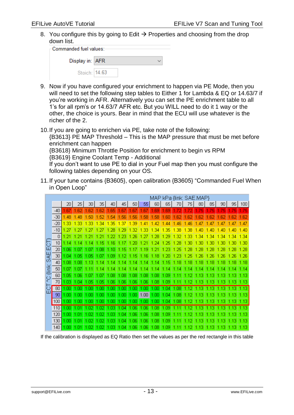8. You configure this by going to Edit  $\rightarrow$  Properties and choosing from the drop down list.

| ⊦Commanded fuel values:⊦ |  |  |  |  |  |  |  |  |
|--------------------------|--|--|--|--|--|--|--|--|
| Display in: AFR          |  |  |  |  |  |  |  |  |
| Stoich: 14.63            |  |  |  |  |  |  |  |  |

- 9. Now if you have configured your enrichment to happen via PE Mode, then you will need to set the following step tables to Either 1 for Lambda & EQ or 14.63/7 if you're working in AFR. Alternatively you can set the PE enrichment table to all 1's for all rpm's or 14.63/7 AFR etc. But you WILL need to do it 1 way or the other, the choice is yours. Bear in mind that the ECU will use whatever is the richer of the 2.
- 10.If you are going to enrichen via PE, take note of the following:

{B3613} PE MAP Threshold – This is the MAP pressure that must be met before enrichment can happen

{B3618} Minimum Throttle Position for enrichment to begin vs RPM {B3619} Engine Coolant Temp - Additional

If you don't want to use PE to dial in your Fuel map then you must configure the following tables depending on your OS.

11.If your tune contains {B3605}, open calibration {B3605} "Commanded Fuel When in Open Loop"

| MAP kPa {link: SAE.MAP} |       |      |      |       |      |      |      |      |      |          |          |            |      |      |      |      |      |       |
|-------------------------|-------|------|------|-------|------|------|------|------|------|----------|----------|------------|------|------|------|------|------|-------|
|                         |       | 20   | 25   | 30    | 35   | 40   | 45   | 50   | 55   | 60       | 65       | 70         | 75   | 80   | 85   | 90   | 95   | 100   |
|                         | $-40$ | .67  | .62  | .62   | 62   | .65  | .67  | .67  | 1.67 | .69      | 69       | .72        | 72   | 75   | 75   | 75   | 75   | .75   |
|                         | $-30$ | .48  | .48  | .50   | 52   | .54  | .56  | .56  | 1.58 | .58      | 60       | .62        | .62  | 62   | 62   | .62  | .62  | .62   |
|                         | $-20$ | 1.33 | 1.33 | 1,33  | 1.34 | 1.35 | 1.37 | 1.39 | 1.41 | 1<br>.42 | .44      | .46        | 46   | 47   | 47   | 47   | 47   | .47   |
|                         | $-10$ | 1.27 | 27   | 27    |      | 28   | .29  | 32   | .33  | 34       | 35       | .38        | 38   | 40   | -40  |      |      | 40    |
|                         | 0     | 1.21 | 1.21 | .2    | 2    | .22  | .23  | .26  | .27  | .28      | .29      | 1.32       | .33  | .34  | 34   | .34  | 34   | 1.34  |
| 등                       | 10    | 1.14 | 1 14 | $-14$ | 5    | 1.16 |      | .20  | .21  | .24      | .25      | .28        | 30   | 30   | 30   | 30   | 30   | 1.30  |
| ш                       | 20    | .06  | .07  | .07   | 1.08 | 1.10 | 1.15 | .17  | 1.19 | 1.21     | 1.23     | 1.25       | .28  | .28  | .28  | .28  | .28  | 1.28  |
| 닞                       | 30    | 1.04 | .05  | .05   | 1.07 | 1.09 | 1.12 | .15  | 1.16 | 1.18     | .20      | 1.23       | -25  | 26   | 26   | -26  | -26  | 1.26  |
| Ø                       | 40    | .08  | .08  | 1.13  | 1.14 | 1.14 | 1.14 | .14  | 1.14 | 1.14     | J.<br>15 | ! 18       | .18  | .18  | .18  | .18  | .18  | l. 18 |
| <b>Alink:</b>           | 50    | l 07 | .07  | 1.11  | 1.14 | 1.14 | 1.14 | 1.14 | 1.14 | 1.14     | 1.14     | 1.14       | -14  | -14  | 1.14 | .14  | 1.14 | 1.14  |
| ပ့                      | 60    | .05  | .06  | .07   | 1.07 | 1.08 | .08  | 1.08 | 1.08 | 1.08     | 1.09     | .11        | 12   | .13  | -13  | 1.13 | 1.13 | l.13  |
|                         | 70    | 1.03 | 04   | 05    | .05  | .06  | .06  | .06  | 1.06 | 1.08     | 1.09     | 11<br>1    | 2    | .13  | .13  | 13   | 1.13 | l.13  |
| ō<br>ш                  | 80    | .00  | OΟ   | 00    | .00  | .00  | .00  | .00  | .00  | 1.00     | 1.04     | 1.08       |      | 13   | 13   | 13   | 13   | -13   |
|                         | 90    | .00  | .00  | .00   | .00  | 1.00 | .00  | .00  | 1.00 | 1.00     | 1.04     | 1.08       | 1.12 | 1.13 | -13  | 1.13 | 1.13 | 1.13  |
|                         | 100   | .00  | 00   | 00    | .00  | 1.00 | .00  | .00  | .00  | 1.00     | 1.04     | .08<br>1.  | 12   | 13   | 13   | 13   | .13  | 1.13  |
|                         | 110   | nn   | 01   | 02    | 02   | 03   | Ū4   | 06   | 06   | 08       | 09       |            |      | 3    | З    | З    | з    | .13   |
|                         | 120   | 00   | .01  | 02    | 02   | .03  | .04  | .06  | 1.06 | 1.08     | 1.09     | 1.11       |      | 13   | .13  | .13  | 1.13 | l.13  |
|                         | 130   | .00  | .01  | .02   | .02  | .03  | .04  | .06  | 1.06 | 1.08     | 1.09     | $\cdot$ 11 | 12   | .13  | .13  | 1.13 | 1.13 | .13   |
|                         | 140   | .00  | .01  | .02   | 1.02 | 1.03 | .04  | 1.06 | 1.06 | 1.08     | 1.09     | 1.11       | 12   | .13  | 1.13 | 1.13 | 1.13 | 1.13  |

If the calibration is displayed as EQ Ratio then set the values as per the red rectangle in this table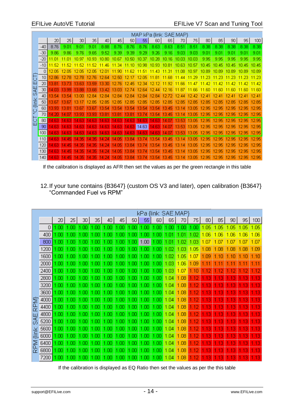| MAP kPa {link: SAE.MAP} |       |          |           |           |                    |           |          |           |          |           |       |       |           |            |           |          |       |       |
|-------------------------|-------|----------|-----------|-----------|--------------------|-----------|----------|-----------|----------|-----------|-------|-------|-----------|------------|-----------|----------|-------|-------|
|                         |       | 20       | 25        | 30        | 35                 | 40        | 45       | 50        | 55       | 60        | 65    | 70    | 75        | 80         | 85        | 90       | 95    | 100   |
|                         | $-40$ | 8.76     | 9.01      | 9.01      | 9.01               | 8.88      | 8.76     | 8.76      | 8.76     | 8.63      | 8.63  | 8.51  | 8.51      | 8.38       | 8.38      | 8.38     | 8.38  | 8.38  |
|                         | $-30$ | 9.86     | 9.86      | 9.76      | 9.65               | 9.52      | 9.39     | 9.39      | 9.29     | 9.26      | 9.16  | 9.03  | 9.03      | 9.01       | 9.01      | 9.01     | 9.01  | 9.01  |
|                         | $-20$ | 11.01    | - N1      | -97       | 10.93              | 10.80     | 10.67    | 10.50     | 10.37    | 10.28     | 10.16 | 10.03 | 10.03     | 9.95       | 9.95      | 9.95     | 9.95  | 9.95  |
|                         | $-10$ | 11.52    | 52        | 52        | .52                | -46       | 34       |           | .98      | IO 93     | 10.81 | 10.63 | 10.57     | 10.        | 10.45     |          | 10.45 | 10.45 |
|                         | n     | 12.05    | 12<br>Ω5  |           | 05                 |           | .90      |           | 5        |           |       |       | 9.        |            |           | 89       | 1N 89 | 10.89 |
|                         | 10    | 2.86     |           | .78       | 12.76              | 2.64      | 12.50    |           | 2.05     | 11.8°     | .68   | 44    | 11.29     | .23        | 11.23     |          |       | 11.23 |
|                         | 20    | 13.81    | 13.73     | 13.63     | 13.59              | 13.30     | 12.76    | 2.<br>45  | 12.34    | 12.1<br>Ω | -92   | -66   | 11 47     | 11.<br>-42 | 11<br>-42 | 47<br>11 | -42   | 11.42 |
| 닟                       | 30    | 14.03    | 13.99     | 13.88     | 13.68              | 13.42     | 13.03    | 2.74      | 12.64    | 12.44     | 12.16 | .87   | 11 RR     | -60        | 11 RO     | -60      | -60   | 11 RO |
| O)                      | 40    | 13.54    | 13.54     | 13.00     | 12.84              | 12.84     | 12.84    | 12.84     | 12.84    | 12.84     | 2.7   | 2.44  | 12.       | 2          | 12.41     | 12.<br>Δ | 12.41 | 12.41 |
| <b>Alink</b>            | 50    | 13.67    | 13.67     | 13        | 2.85               | 2.85      | 2.85     | 2.85      | 2.85     | 2.85      | 12.85 | 12.85 | 12.<br>85 | 2<br>85    | 12.85     | 12.85    | 2.85  | 12.85 |
|                         | 60    | 13.93    | 13.81     | 13.67     | 13.67              | 13.54     | 13.54    | 13.54     | 13.54    | 13.54     | 13.45 | 13.14 | 13.05     | 12.95      | 12.95     | 12.95    | 12.95 | 12.95 |
| ō                       | 70    | 14.20    | 14<br>m   | 13.93     | 13.93 <sup>°</sup> | 13.81     | 13.81    | 13.81     | 13.74    | 13.54     | 13.45 | 13.14 | 13.<br>05 | 12.95      | 12.95     | 12.95    | 12.95 | 12.95 |
| 5<br>ш                  | 80    | 14.63    | 4.<br>63  | .63<br>14 | 14.63              | .63<br>4. | 4<br>.63 | 4.<br>.63 | 4<br>.63 | .63<br>14 | 4.07  | 13.53 | 13.05     | 12.95      | 12.95     | 12.95    | 12.95 | 12.95 |
|                         | 90    | 14.63    | 14.63     | 14.63     | 14.63              | 14.63     | 14.63    | 14.63     | 14.63    | 14.63     | 14.07 | 13.53 | 13.05     | 12.95      | 12.95     | 12.95    | 12.95 | 12.95 |
|                         | 100   | -63<br>4 | 4<br>63   | 14<br>-63 | -63                | 63        | 4<br>.63 | 4<br>63   | 4<br>63  | 14<br>-63 | 4.    | 13.53 | 13<br>05  | 2.95       | 12.95     | 2.95     | 2.95  | 2.95  |
|                         | 110   | -63<br>4 | 4<br>45   | 35<br>14  | .35                | 4.24      | 4.05     | 84<br>13. | 13.74    | 13.54     | 13.45 | 13.   | 13<br>05  | 2.<br>.95  | 12.95     | 12.95    | 12.95 | 12.95 |
|                         | 120   | 14.63    | 14.45     | 14.35     | .35<br>14          | 4.24      | 4.05     | 13.84     | 13.74    | 13.54     | 13.45 | 13.14 | 13.05     | 12.95      | 12.95     | 12.95    | 12.95 | 12.95 |
|                         | 130   | I4 63    | 14.45     | 14.35     | 14.35              | 14.24     | 14.05    | 13.84     | 13.74    | 13.54     | 13.45 | 13.14 | 13.05     | 12.95      | 12.95     | 12.95    | 12.95 | 12.95 |
|                         | 140   | 14.63    | 14.<br>45 | 14.35     | 14.35              | 14.24     | 14.05    | 13.84     | 13.74    | 13.54     | 13.45 | 13.14 | 13.05     | 12.95      | 12.95     | 12.95    | 12.95 | 12.95 |

If the calibration is displayed as AFR then set the values as per the green rectangle in this table

12.If your tune contains {B3647} (custom OS V3 and later), open calibration {B3647} "Commanded Fuel vs RPM"

|        | kPa {link: SAE.MAP} |      |      |     |     |     |      |     |      |     |              |      |     |     |     |     |     |      |
|--------|---------------------|------|------|-----|-----|-----|------|-----|------|-----|--------------|------|-----|-----|-----|-----|-----|------|
|        |                     | 20   | 25   | 30  | 35  | 40  | 45   | 50  | 55   | 60  | 65           | 70   | 75  | 80  | 85  | 90  | 95  | 100  |
|        | 0                   | 1.00 | OC   | ОС  | OC  | OC  | Πſ   | ΟO  | .00  | .00 | .00          | .00  | .00 | .05 | .05 | .05 | .05 | 1.05 |
|        | 400                 | 1.00 | .00  | .OC | .00 | .00 | .00  | .00 | .00  | .00 | $\mathbf{0}$ | .Oʻ  | .02 | .06 | ПF  | ПR  | ЛR  | 1.06 |
|        | 800                 | .00  | m    | m   | nr  | m   | nr   | Πſ  | 1.00 | .or | .O           | .02  | -03 | ЮZ  | Ш   | m   | -07 | 1.07 |
|        | 1200                | .00  | .OC  | ОC  | ОC  | .OO | 00   | ОО  | .00  | .00 | .02          | .03  | .05 | .08 | .08 | .08 | .08 | 1.09 |
|        | 1600                | . OC | m    | .OC | m   | .or | m    | .or | .OO  | ΩC  | .02          | - 05 | .07 | .09 | 10  | 10  | .10 | .10  |
|        | 2000                | 1.00 | .OC  | .OC | .00 | .00 | .00  | .00 | .00  | .00 | .03          | 1.06 | .09 |     |     |     |     | .11  |
|        | 2400                | -OC  | m    | Ωſ  | ΩC  | Ωſ  | Ωſ   | ЮO  | .or  | ΩC  | -03          | .07  |     |     |     |     |     |      |
|        | 2800                | ЮO   | .OC  | ОC  | .00 | .00 | .00  | .00 | .00  | .00 | 1.04         | .08  |     | 3   | Ξ   | 3   | З   | .13  |
|        | 3200                | 1.00 | .nr  | .OC | m   | ЮO  | m    | .00 | .00  | .00 | 1.04         | .08  |     | 3   | Э   | 13  | 13  | 13   |
|        | 3600                | 1.00 | ЮC   | .oc | .00 | .00 | .00  | .00 | .00  | .00 | 1.04         | .08  |     | 3   |     | 3   | 3   | 13   |
| T      | 4000                | 1.00 | .or  | .OC | ΩC  | ΩC  | .OO  | .00 | .OO  | .00 | 1.04         | .08  |     | Э   |     | Э   | 3   | 13   |
| င်း    | 4400                | 1.00 | ЮC   | .OC | 00  | .00 | .00  | .00 | .00  | .00 | 1.04         | .08  |     | 3   | Ξ   | 3   | 3   | .13  |
| ш      | 4800                | 1.00 | 1.00 | .or | m   | .or | .or  | .or | ЮO   | ЮO  | 1.04         | .08  |     | З   | Ξ   | 13  | 13  | 13   |
| ගී     | 5200                | 1.00 | 1.00 | .OC | .00 | .00 | .00  | .00 | .00  | .00 | 1.04         | .08  |     |     |     |     |     | 13   |
| ×<br>⊆ | 5600                | L OC | m    | Ωſ  | Ωſ  | .OO | Ωſ   | .00 | ΩC   | .00 | 1.04         | .08  |     |     |     | Э   | 3   | 13   |
| ₩      | 6000                | .00  | OC   | OO  | ОC  | .OO | .00  | ОО  | OΟ   | ΟO  | l 04         | .08  |     |     |     | 3   | 3   | .13  |
| ⅀      | 6400                | .00  | .or  | .OC | .OC | .OO | .OC  | ЮC  | .OC  | .00 | 1.04         | .08  |     | З   | Э   | 13  | 13  | .13  |
| œ      | 6800                | 1.00 | 1.00 | ЮC  | .00 | .00 | .00  | .00 | .00  | .00 | 1.04         | .08  |     | 3   |     | 3   |     | .13  |
|        | 7200                | 1.00 | 1.00 | .00 | .00 | .00 | 1.00 | .00 | .00  | .00 | 1.04         | 1.08 |     | 3   | Э   | 13  | 13  | .13  |

If the calibration is displayed as EQ Ratio then set the values as per the this table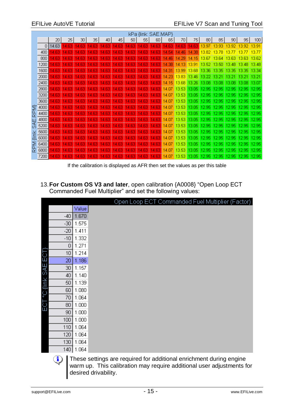|             | kPa {link: SAE.MAP} |           |                        |           |                |                                  |           |           |           |                        |            |                    |            |       |       |                 |       |       |
|-------------|---------------------|-----------|------------------------|-----------|----------------|----------------------------------|-----------|-----------|-----------|------------------------|------------|--------------------|------------|-------|-------|-----------------|-------|-------|
|             |                     | 20        | 25                     | 30        | 35             | 40                               | 45        | 50        | 55        | 60                     | 65         | 70                 | 75         | 80    | 85    | 90 <sub>1</sub> | 95    | 100   |
|             | 0                   | 14.63     | .63<br>4               | .63       | 63<br>4        | 63<br>4                          | .63<br>4. | .63<br>4  | .63<br>4  | .63<br>4               | 63<br>4    | 63<br>4            | .63<br>14. | 13.97 | 13.93 | 13.92           | 13.92 | 13.91 |
|             | 400                 | 4.63      | 14<br>.63              | .63<br>4  | 63<br>4        | 4.<br>.63                        | 4.63      | .63<br>4  | .63<br>4  | .63<br>14              | 14.54      | 4.<br>.46          | 14.38      | 13.82 | 13.78 | 13.             | 13.77 | 13.77 |
|             | 800                 | 4.63      | 14.63                  | 14.63     | 14.63          | 4.63                             | 14.63     | 14.63     | 4.63      | 14.63                  | 14.<br>46  | .29<br>14.         | 14.15      | 13.67 | 13.64 | 13.63           | 13.63 | 13.62 |
|             | 1200                | 4.63      | .63<br>14              | .63       | .63<br>4       | 4.63                             | 4.63      | 14.63     | 4.63      | 4<br>.63               | 14.38      | $\mathbf{I}$<br>13 | 13.<br>9   | 13.52 | 13    | з               | 13.48 | 13.48 |
|             | 1600                | 4.63      | .63<br>14              | 63<br>4   | 63<br>4        | 63<br>4                          | 4.63      | 14.63     | .63<br>4  | .63<br>4               | 14.31      | 13.99              | 13.        | 13.36 | 13.35 | 13.35           | 13.35 | 13.34 |
|             | 2000                | 4.<br>.63 | 4<br>.63               | .63       | 63             | 4<br>.63                         | .63<br>4. | 4.63      | .63<br>4  | .63<br>4               | .23<br>4   | 13.83              | 13.46      | 13.22 | I3.21 | 13.2            | 13.21 | 13.21 |
|             | 2400                | 4.63      | 14.63                  | 4.63      | 4.63           | 4.63                             | 14.63     | 14.63     | 4.63      | .63<br>4               | 14.<br>15  | 13.68              | 13.26      | 13.08 | 13.08 | 13.08           | 13.08 | 13.07 |
|             | 2800                | 4.63      | .63<br>14              | .63       | 4.63           | 4.63                             | 14.63     | 14.63     | 4.63      | .63<br>$\vert 4$       | 14.<br>.07 | 13.53              | 13.05      | 12.95 | 2.95  | 12.95           | 12.95 | 12.95 |
|             | 3200                | 4.63      | 14.63                  | 14.63     | .63<br>4       | 4.63                             | 4.63      | 14.63     | .63<br>4  | .63<br>14              | V.<br>.07  | 13.53              | 13.05      | 12.95 | 12.95 | 12.95           | 12.95 | 12.95 |
|             | 3600                | 4.63      | .63<br>14              | .63<br>4  | 63<br>4        | 63<br>4                          | 4.63      | .63<br>14 | .63<br>4  | 63<br>4                | 14.<br>.07 | 13.53              | 13.05      | 12.95 | 2.95  | 12.95           | 12.95 | 12.95 |
|             | 4000                | 4.63      | 14<br>.63              | .63<br>4  | 63<br>4        | .63<br>4                         | 4.63      | .63<br>14 | .63<br>4  | .63<br>14              | 14.<br>.07 | 13.53              | 13.05      | 12.95 | 12.95 | 12.95           | 12.95 | 12.95 |
| RPM}        | 4400                | 4.63      | 14.63                  | 14.63     | 14.63          | 14.63                            | 14.63     | 14.63     | 14.63     | 14.63                  | 14.07      | 13.53              | 13.05      | 12.95 | 12.95 | 12.95           | 12.95 | 12.95 |
|             | 4800                | 14.63     | 14.63                  | 14.63     | 4.63           | 4.63                             | 14.63     | 14.63     | 14.63     | 14.63                  | 14.07      | 13.53              | 13.05      | 12.95 | 12.95 | 12.95           | 12.95 | 12.95 |
| <b>SAE</b>  | 5200                | 4.63      | .63<br>14 <sub>1</sub> | 63<br>4   | <b>63</b><br>4 | 4.63                             | 14.63     | 14.63     | 4.63      | 4.63                   | 14.07      | 13.53              | 13.05      | 12.95 | 2.95  | 12.95           | 12.95 | 12.95 |
|             | 5600                | 4.63      | $\vert$ 4<br>.63       | .63       | 63<br>4        | 4<br>.63                         | .63<br>4. | 4.63      | 4<br>.63  | .63<br>4               | 14.07      | 13.53              | 13.05      | 12.95 | 2.95  | 12.95           | 12.95 | 12.95 |
| <b>Aink</b> | 6000                | 4.63      | 4.63                   | .63<br>4  | 4.63           | 4.63                             | 4.63      | 14.63     | 4.63      | .63<br>4               | 14.07      | 13.53              | 13.05      | 12.95 | 2.95  | 12.95           | 12.95 | 12.95 |
| <b>NdB</b>  | 6400                | 14.63     | 14.63                  | 14.63     | 4.63           | 4.63                             | 14.63     | 14.63     | 4.63      | .63<br>$\vert 4 \vert$ | 14.07      | 13.53              | 13.05      | 12.95 | 12.95 | 12.95           | 12.95 | 12.95 |
|             | 6800                | 14.63     | 14.63                  | 14.63     | 4.63           | 4.63                             | 14.63     | 14.63     | 14.63     | .63<br>14              | 14.07      | 13.53              | 13.05      | 12.95 | 12.95 | 12.95           | 12.95 | 12.95 |
|             | 7200                | 14.63     | .63<br>14              | .63<br>14 | 63<br>14       | .63<br>$\boldsymbol{\varLambda}$ | 14.63     | 14.63     | .63<br>14 | 63<br>14               | 14.<br>.07 | 13.53              | 13.05      | 12.95 | 12.95 | 12.95           | 12.95 | 12.95 |

If the calibration is displayed as AFR then set the values as per this table

13.**For Custom OS V3 and later**, open calibration {A0008} "Open Loop ECT Commanded Fuel Multiplier" and set the following values:

|                       |                 |       | Open Loop ECT Commanded Fuel Multiplier (Factor) |
|-----------------------|-----------------|-------|--------------------------------------------------|
|                       |                 | Value |                                                  |
|                       | $-40$           | 1.670 |                                                  |
|                       | $-30$           | 1.575 |                                                  |
|                       | $-20$           | 1.411 |                                                  |
|                       | $-10$           | 1.332 |                                                  |
|                       | 0               | 1.271 |                                                  |
|                       | 10 <sup>1</sup> | 1.214 |                                                  |
| ECT °C {link SAE.ECT} | 20              | 1.186 |                                                  |
|                       | 30              | 1.157 |                                                  |
|                       | 40              | 1.140 |                                                  |
|                       | 50              | 1.139 |                                                  |
|                       | 60              | 1.080 |                                                  |
|                       | 70              | 1.064 |                                                  |
|                       | 80              | 1.000 |                                                  |
|                       | 90              | 1.000 |                                                  |
|                       | 100             | 1.000 |                                                  |
|                       | 110             | 1.064 |                                                  |
|                       | 120             | 1.064 |                                                  |
|                       | 130             | 1.064 |                                                  |
|                       | 140             | 1.064 |                                                  |
|                       | <b>Alberta</b>  |       |                                                  |

 $\bigcirc$ These settings are required for additional enrichment during engine warm up. This calibration may require additional user adjustments for desired drivability.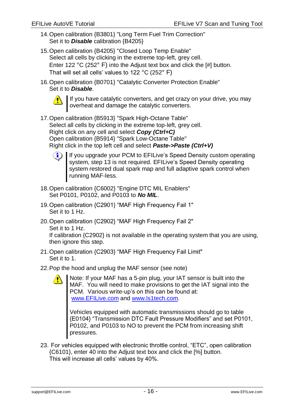- 14.Open calibration {B3801} "Long Term Fuel Trim Correction" Set it to *Disable* calibration {B4205}
- 15.Open calibration {B4205} "Closed Loop Temp Enable" Select all cells by clicking in the extreme top-left, grey cell. Enter 122 °C (252° F) into the Adjust text box and click the [#] button. That will set all cells' values to 122 °C (252° F)
- 16.Open calibration {B0701} "Catalytic Converter Protection Enable" Set it to *Disable*.



If you have catalytic converters, and get crazy on your drive, you may overheat and damage the catalytic converters.

17.Open calibration {B5913} "Spark High-Octane Table" Select all cells by clicking in the extreme top-left, grey cell. Right click on any cell and select *Copy (Ctrl+C)* Open calibration {B5914} "Spark Low-Octane Table" Right click in the top left cell and select *Paste->Paste (Ctrl+V)*



If you upgrade your PCM to EFILive's Speed Density custom operating system, step 13 is not required. EFILive's Speed Density operating system restored dual spark map and full adaptive spark control when running MAF-less.

- 18.Open calibration {C6002} "Engine DTC MIL Enablers" Set P0101, P0102, and P0103 to *No MIL*.
- 19.Open calibration {C2901} "MAF High Frequency Fail 1" Set it to 1 Hz.
- 20.Open calibration {C2902} "MAF High Frequency Fail 2" Set it to 1 Hz.

If calibration {C2902} is not available in the operating system that you are using, then ignore this step.

- 21.Open calibration {C2903} "MAF High Frequency Fail Limit" Set it to 1.
- 22.Pop the hood and unplug the MAF sensor (see note)

Note: If your MAF has a 5-pin plug, your IAT sensor is built into the MAF. You will need to make provisions to get the IAT signal into the PCM. Various write-up's on this can be found at: [www.EFILive.com](http://www.efilive.com/) and [www.ls1tech.com.](http://www.ls1tech.com/)

Vehicles equipped with automatic transmissions should go to table {E0104} "Transmission DTC Fault Pressure Modifiers" and set P0101, P0102, and P0103 to NO to prevent the PCM from increasing shift pressures.

23. For vehicles equipped with electronic throttle control, "ETC", open calibration {C6101}, enter 40 into the Adjust text box and click the [%] button. This will increase all cells' values by 40%.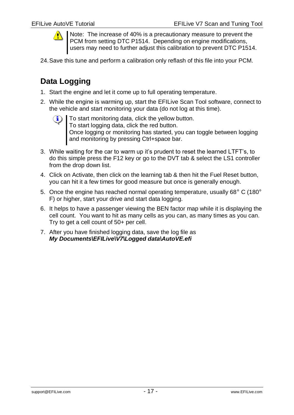

Note: The increase of 40% is a precautionary measure to prevent the PCM from setting DTC P1514. Depending on engine modifications. users may need to further adjust this calibration to prevent DTC P1514.

24.Save this tune and perform a calibration only reflash of this file into your PCM.

# <span id="page-18-0"></span>**Data Logging**

- 1. Start the engine and let it come up to full operating temperature.
- 2. While the engine is warming up, start the EFILive Scan Tool software, connect to the vehicle and start monitoring your data (do not log at this time).
	- To start monitoring data, click the yellow button. To start logging data, click the red button. Once logging or monitoring has started, you can toggle between logging and monitoring by pressing Ctrl+space bar.
- 3. While waiting for the car to warm up it's prudent to reset the learned LTFT's, to do this simple press the F12 key or go to the DVT tab & select the LS1 controller from the drop down list.
- 4. Click on Activate, then click on the learning tab & then hit the Fuel Reset button, you can hit it a few times for good measure but once is generally enough.
- 5. Once the engine has reached normal operating temperature, usually 68° C (180° F) or higher, start your drive and start data logging.
- 6. It helps to have a passenger viewing the BEN factor map while it is displaying the cell count. You want to hit as many cells as you can, as many times as you can. Try to get a cell count of 50+ per cell.
- 7. After you have finished logging data, save the log file as *My Documents\EFILive\V7\Logged data\AutoVE.efi*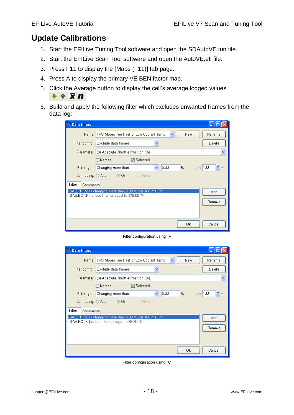## <span id="page-19-0"></span>**Update Calibrations**

- 1. Start the EFILive Tuning Tool software and open the SDAutoVE.tun file.
- 2. Start the EFILive Scan Tool software and open the AutoVE.efi file.
- 3. Press F11 to display the [Maps (F11)] tab page.
- 4. Press A to display the primary VE BEN factor map.
- 5. Click the Average button to display the cell's average logged values.  $+ \pm \times n$
- 6. Build and apply the following filter which excludes unwanted frames from the data log:

| Data filters       |                                                                                                                |
|--------------------|----------------------------------------------------------------------------------------------------------------|
|                    | Name: TPS Moves Too Fast or Low Coolant Temp<br>New<br>Rename<br>$\checkmark$                                  |
|                    | Filter control: Exclude data frames<br>Delete                                                                  |
|                    | Parameter: (0) Absolute Throttle Position (%)<br>v                                                             |
|                    | $\Box$ Names<br><b>▽</b> Selected                                                                              |
| Filter type:       | $\hat{\mathbb{L}}$ ms<br>5.00<br>per 100<br>%<br>Changing more than                                            |
| Join using: O And  | $\odot$ Or $\odot$<br>◯ None                                                                                   |
| Filter<br>Comments |                                                                                                                |
|                    | {SAE.TP.%} is changing more than 5.00 % per 100 ms OR<br>Add<br>{SAE.ECT.F} is less than or equal to 178.00 °F |
|                    | Remove                                                                                                         |
|                    |                                                                                                                |
|                    |                                                                                                                |
|                    | Оk<br>Cancel                                                                                                   |

Filter configuration using °F

| <b>Data filters</b> |                                                                     |                                  |
|---------------------|---------------------------------------------------------------------|----------------------------------|
|                     | Name: TPS Moves Too Fast or Low Coolant Temp<br>New<br>$\checkmark$ | Rename                           |
|                     | Filter control: Exclude data frames                                 | Delete                           |
|                     | Parameter: (0) Absolute Throttle Position (%)                       | v                                |
|                     | $\square$ Names<br><b>▽</b> Selected                                |                                  |
| Filter type:        | 5.00<br>$\%$<br>Changing more than<br>v                             | $\hat{\mathbb{L}}$ ms<br>per 100 |
| Join using: O And   | $\circ$ O Or $\circ$<br>$\bigcirc$ None                             |                                  |
| Filter<br>Comments  |                                                                     |                                  |
|                     | {SAE.TP.%} is changing more than 5.00 % per 100 ms OR               | Add                              |
|                     | {SAE.ECT.C} is less than or equal to 66.80 °C.                      | Remove                           |
|                     |                                                                     |                                  |
|                     |                                                                     |                                  |
|                     | Ok                                                                  | Cancel                           |

Filter configuration using °C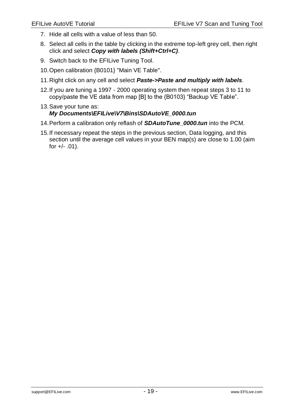- 7. Hide all cells with a value of less than 50.
- 8. Select all cells in the table by clicking in the extreme top-left grey cell, then right click and select *Copy with labels (Shift+Ctrl+C)*.
- 9. Switch back to the EFILive Tuning Tool.
- 10.Open calibration {B0101} "Main VE Table".
- 11.Right click on any cell and select *Paste->Paste and multiply with labels*.
- 12.If you are tuning a 1997 2000 operating system then repeat steps 3 to 11 to copy/paste the VE data from map [B] to the {B0103} "Backup VE Table".

#### 13.Save your tune as: *My Documents\EFILive\V7\Bins\SDAutoVE\_0000.tun*

- 14.Perform a calibration only reflash of *SDAutoTune\_0000.tun* into the PCM.
- 15.If necessary repeat the steps in the previous section, Data logging, and this section until the average cell values in your BEN map(s) are close to 1.00 (aim for  $+/- .01$ ).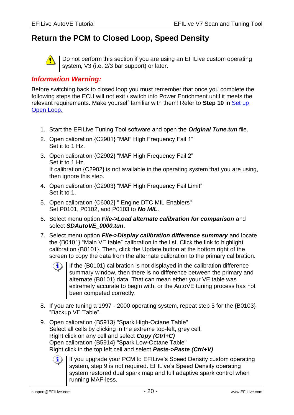## <span id="page-21-0"></span>**Return the PCM to Closed Loop, Speed Density**



Do not perform this section if you are using an EFILive custom operating system, V3 (i.e. 2/3 bar support) or later.

#### *Information Warning:*

Before switching back to closed loop you must remember that once you complete the following steps the ECU will not exit / switch into Power Enrichment until it meets the relevant requirements. Make yourself familiar with them! Refer to **Step 10** in [Set](#page-12-1) up [Open Loop.](#page-12-1)

- 1. Start the EFILive Tuning Tool software and open the *Original Tune.tun* file.
- 2. Open calibration {C2901} "MAF High Frequency Fail 1" Set it to 1 Hz.
- 3. Open calibration {C2902} "MAF High Frequency Fail 2" Set it to 1 Hz. If calibration {C2902} is not available in the operating system that you are using, then ignore this step.
- 4. Open calibration {C2903} "MAF High Frequency Fail Limit" Set it to 1.
- 5. Open calibration {C6002} " Engine DTC MIL Enablers" Set P0101, P0102, and P0103 to *No MIL*.
- 6. Select menu option *File->Load alternate calibration for comparison* and select *SDAutoVE\_0000.tun*.
- 7. Select menu option *File->Display calibration difference summary* and locate the {B0101} "Main VE table" calibration in the list. Click the link to highlight calibration {B0101}. Then, click the Update button at the bottom right of the screen to copy the data from the alternate calibration to the primary calibration.
	- If the {B0101} calibration is not displayed in the calibration difference  $\left( \mathbf{1} \right)$ summary window, then there is no difference between the primary and alternate {B0101} data. That can mean either your VE table was extremely accurate to begin with, or the AutoVE tuning process has not been competed correctly.
- 8. If you are tuning a 1997 2000 operating system, repeat step 5 for the {B0103} "Backup VE Table".
- 9. Open calibration {B5913} "Spark High-Octane Table" Select all cells by clicking in the extreme top-left, grey cell. Right click on any cell and select *Copy (Ctrl+C)* Open calibration {B5914} "Spark Low-Octane Table" Right click in the top left cell and select *Paste->Paste (Ctrl+V)*

If you upgrade your PCM to EFILive's Speed Density custom operating system, step 9 is not required. EFILive's Speed Density operating system restored dual spark map and full adaptive spark control when running MAF-less.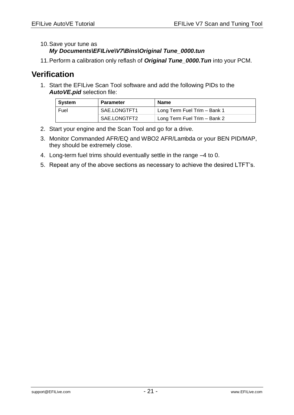10.Save your tune as

*My Documents\EFILive\V7\Bins\Original Tune\_0000.tun*

11.Perform a calibration only reflash of *Original Tune\_0000.Tun* into your PCM.

## <span id="page-22-0"></span>**Verification**

1. Start the EFILive Scan Tool software and add the following PIDs to the *AutoVE.pid* selection file:

| ∣ System | <b>Parameter</b> | <b>Name</b>                  |
|----------|------------------|------------------------------|
| Fuel     | SAE.LONGTFT1     | Long Term Fuel Trim - Bank 1 |
|          | SAE.LONGTFT2     | Long Term Fuel Trim - Bank 2 |

- 2. Start your engine and the Scan Tool and go for a drive.
- 3. Monitor Commanded AFR/EQ and WBO2 AFR/Lambda or your BEN PID/MAP, they should be extremely close.
- 4. Long-term fuel trims should eventually settle in the range –4 to 0.
- 5. Repeat any of the above sections as necessary to achieve the desired LTFT's.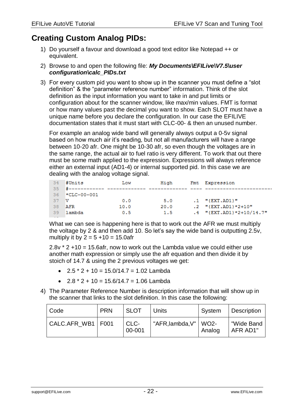# <span id="page-23-0"></span>**Creating Custom Analog PIDs:**

- 1) Do yourself a favour and download a good text editor like Notepad ++ or equivalent.
- 2) Browse to and open the following file: *My Documents\EFILive\V7.5\user configuration\calc\_PIDs.txt*
- 3) For every custom pid you want to show up in the scanner you must define a "slot definition" & the "parameter reference number" information. Think of the slot definition as the input information you want to take in and put limits or configuration about for the scanner window, like max/min values. FMT is format or how many values past the decimal you want to show. Each SLOT must have a unique name before you declare the configuration. In our case the EFILIVE documentation states that it must start with CLC-00- & then an unused number.

For example an analog wide band will generally always output a 0-5v signal based on how much air it's reading, but not all manufacturers will have a range between 10-20 afr. One might be 10-30 afr, so even though the voltages are in the same range, the actual air to fuel ratio is very different. To work that out there must be some math applied to the expression. Expressions will always reference either an external input (AD1-4) or internal supported pid. In this case we are dealing with the analog voltage signal.

| 34  | #Units             | Low  | High | Fmt Expression             |
|-----|--------------------|------|------|----------------------------|
| 35  |                    |      |      |                            |
| 36  | $\star$ CLC-00-001 |      |      |                            |
| -37 | -v                 | 0.0  | 5.0  | $.1$ "{EXT.AD1}"           |
| -38 | AFR                | 10.0 | 20.0 | $.2$ "{EXT.AD1}*2+10"      |
| -39 | lambda             | 0.5  | 1.5  | $.4$ "{EXT.AD1}*2+10/14.7" |

What we can see is happening here is that to work out the AFR we must multiply the voltage by 2 & and then add 10. So let's say the wide band is outputting 2.5v, multiply it by  $2 = 5 + 10 = 15.0$ afr

2.8v \* 2 +10 = 15.6afr, now to work out the Lambda value we could either use another math expression or simply use the afr equation and then divide it by stoich of 14.7 & using the 2 previous voltages we get:

- $2.5 \times 2 + 10 = 15.0/14.7 = 1.02$  Lambda
- $2.8 * 2 + 10 = 15.6/14.7 = 1.06$  Lambda
- 4) The Parameter Reference Number is description information that will show up in the scanner that links to the slot definition. In this case the following:

| l Code              | <b>PRN</b> | <b>SLOT</b>    | Units                   | System | Description            |
|---------------------|------------|----------------|-------------------------|--------|------------------------|
| CALC.AFR_WB1   F001 |            | CLC-<br>00-001 | "AFR, lambda, V"   WO2- | Analog | "Wide Band<br>AFR AD1" |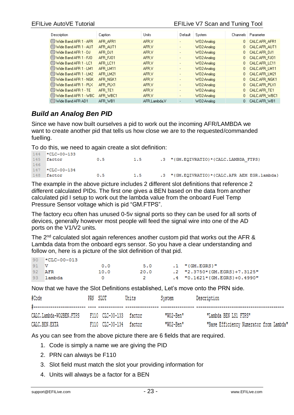| Description                   | Caption  | Units        | Default                  | System                 |              | Channels   Parameter |
|-------------------------------|----------|--------------|--------------------------|------------------------|--------------|----------------------|
| CO Wide Band AFR 1 - AFR      | AFR_AFR1 | AFR.V        |                          | W02-Analog             |              | 0 CALC.AFR_AFR1      |
| @@Wide Band AFR 1 - AUT       | AFR AUT1 | AFR.V        | $\blacksquare$           | W02-Analog             | 0            | CALC.AFR AUT1        |
| @@Wide Band AFR 1 - DJ        | AFR DJ1  | AFR.V        | $\overline{\phantom{a}}$ | W02-Analog             |              | 0 CALC.AFR DJ1       |
| @@Wide Band AFR 1 - FJO       | AFR_FJ01 | AFR.V        | $\overline{\phantom{a}}$ | W02-Analog             |              | 0 CALC.AFR_FJ01      |
| @@Wide Band AFR 1 - LC1       | AFR LC11 | AFR.V        | $\overline{\phantom{a}}$ | W02-Analog             |              | 0 CALC.AFR_LC11      |
| COWide Band AFR 1 - LM1       | AFR LM11 | AFR.V        | $\overline{\phantom{0}}$ | W02-Analog             |              | 0 CALC.AFR LM11      |
| COWide Band AFR 1 - LM2       | AFR LM21 | AFR.V        | $\overline{\phantom{a}}$ | W02-Analog             |              | 0 CALC.AFR LM21      |
| @@Wide Band AFR 1 - NGK       | AFR_NGK1 | AFR.V        | $\overline{\phantom{a}}$ | W02-Analog             |              | 0 CALC.AFR_NGK1      |
| @@Wide Band AFR 1 - PLX       | AFR PLX1 | AFR.V        | $\overline{\phantom{a}}$ | W02-Analog             |              | 0 CALC.AFR PLX1      |
| <b>COWide Band AFR 1 - TE</b> | AFR TE1  | AFR.V        | $\overline{\phantom{0}}$ | WO <sub>2-Analog</sub> | $\mathbf{0}$ | CALC.AFR TE1         |
| @@Wide Band AFR 1 - WBC       | AFR WBC1 | AFR.V        |                          | W02-Analog             | 0            | CALC.AFR_WBC1        |
| @9Wide Band AFR AD1           | AFR WB1  | AFR,Lambda,V |                          | W02-Analog             |              | CALC.AFR WB1         |

## <span id="page-24-0"></span>*Build an Analog Ben PID*

Since we have now built ourselves a pid to work out the incoming AFR/LAMBDA we want to create another pid that tells us how close we are to the requested/commanded fuelling.

To do this, we need to again create a slot definition:

```
144 *CLC-00-133
145 factor
                       0.51.5.3 "{GM.EQIVRATIO}*{CALC.LAMBDA FTPS}
146
147 *CLC-00-134
148 factor
                       0.51.5 -.3 "{GM.EQIVRATIO}*{CALC.AFR AEM EGR.lambda}
```
The example in the above picture includes 2 different slot definitions that reference 2 different calculated PIDs. The first one gives a BEN based on the data from another calculated pid I setup to work out the lambda value from the onboard Fuel Temp Pressure Sensor voltage which is pid "GM.FTPS".

The factory ecu often has unused 0-5v signal ports so they can be used for all sorts of devices, generally however most people will feed the signal wire into one of the AD ports on the V1/V2 units.

The 2<sup>nd</sup> calculated slot again references another custom pid that works out the AFR & Lambda data from the onboard egrs sensor. So you have a clear understanding and follow on, here is a picture of the slot definition of that pid.

| -90- | ™CLC-00-013 |      |      |                              |
|------|-------------|------|------|------------------------------|
| 91 V |             | 0.0  | 5.0  | $.1$ "{GM.EGRS}"             |
| -92  | AFR         | 10.0 | 20.0 | .2 "2.3750*{GM.EGRS}+7.3125" |
| -93- | lambda      |      |      | .4 "0.1621*{GM.EGRS}+0.4990" |

Now that we have the Slot Definitions established, Let's move onto the PRN side.

| #Code                   | PRN SLOT               | Units | System    | Description                             |
|-------------------------|------------------------|-------|-----------|-----------------------------------------|
| CALC.Lambda-WO2BEN.FTPS | F110 CLC-00-133 factor |       | "W02-Ben" | "Lambda BEN LS1 FTPS"                   |
| CALC.BEN.EXTA           | F110 CLC-00-134 factor |       | "W02-Ben" | "Base Efficiency Numerator from Lambda" |

As you can see from the above picture there are 6 fields that are required.

- 1. Code is simply a name we are giving the PID
- 2. PRN can always be F110
- 3. Slot field must match the slot your providing information for
- 4. Units will always be a factor for a BEN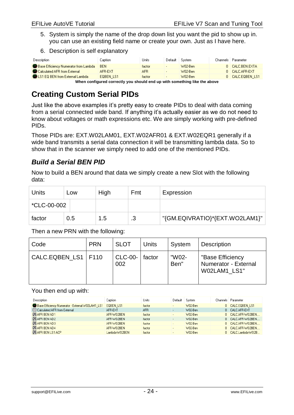- 5. System is simply the name of the drop down list you want the pid to show up in. you can use an existing field name or create your own. Just as I have here.
- 6. Description is self explanatory

| <b>Description</b>                    | Caption .  | Units  | Default | System    | Channels   Parameter |
|---------------------------------------|------------|--------|---------|-----------|----------------------|
| Base Efficiency Numerator from Lambda | <b>BEN</b> | factor |         | W02-Ben   | 0 CALC BEN EXTA      |
| Calculated AFR from External          | AFR-EXT    | AFR    |         | $W02-Ben$ | 0 CALC AFR-EXT       |
| LS1 EQ BEN from External Lambda       | EQBEN LS1  | factor |         | W02-Ben   | 0 CALC.EQBEN LS1     |

**When configured correctly you should end up with something like the above**

# <span id="page-25-0"></span>**Creating Custom Serial PIDs**

Just like the above examples it's pretty easy to create PIDs to deal with data coming from a serial connected wide band. If anything it's actually easier as we do not need to know about voltages or math expressions etc. We are simply working with pre-defined PIDs.

Those PIDs are: EXT.W02LAM01, EXT.W02AFR01 & EXT.W02EQR1 generally if a wide band transmits a serial data connection it will be transmitting lambda data. So to show that in the scanner we simply need to add one of the mentioned PIDs.

## <span id="page-25-1"></span>*Build a Serial BEN PID*

Now to build a BEN around that data we simply create a new Slot with the following data:

| Units       | Low | High | Fmt     | Expression                     |
|-------------|-----|------|---------|--------------------------------|
| *CLC-00-002 |     |      |         |                                |
| factor      | 0.5 | 1.5  | ാ<br>ں. | "{GM.EQIVRATIO}*{EXT.WO2LAM1}" |

Then a new PRN with the following:

| Code                  | <b>PRN</b> | <b>SLOT</b>           | <b>Units</b> | System        | <b>Description</b>                                       |
|-----------------------|------------|-----------------------|--------------|---------------|----------------------------------------------------------|
| <b>CALC.EQBEN LS1</b> | F110       | <b>CLC-00-</b><br>002 | factor       | "W02-<br>Ben" | "Base Efficiency<br>Numerator - External<br>W02LAM1 LS1" |

You then end up with:

| Description                                      | Caption          | Units  | Default                  | System    | Channels   Parameter |
|--------------------------------------------------|------------------|--------|--------------------------|-----------|----------------------|
| Base Efficiency Numerator - External W02LAM1 LS1 | <b>EGBEN LS1</b> | factor |                          | $W02-Ben$ | 0 CALC.EQBEN LS1     |
| Calculated AFR from External                     | AFR-EXT          | AFR.   | $\overline{\phantom{a}}$ | W02-Ben   | 0 CALC, AFR-EXT      |
| <b>XAFR BEN AD1</b>                              | AFR-WO2BEN       | factor | $\sim$                   | $W02-Ben$ | 0 CALC.AFR-W02BEN    |
| <b>XAFR BEN AD2</b>                              | AFR-WO2BEN       | factor | $\sim$                   | W02-Ben   | 0 CALC.AFR-WO2BEN    |
| <b>XAFR BEN AD3</b>                              | AFR-WO2BEN       | factor | $\overline{\phantom{a}}$ | $W02-Ben$ | 0 CALC.AFR-W02BEN    |
| <b>XAFR BEN AD4</b>                              | AFR-WO2BEN       | factor | $\cdot$                  | $W02-Ben$ | 0 CALC.AFR-WO2BEN    |
| <b>CAFR BEN LS1 ACP</b>                          | Lambda-W02BEN    | factor | $\overline{a}$           | $W02-Ben$ | CALC.Lambda-WO2B     |